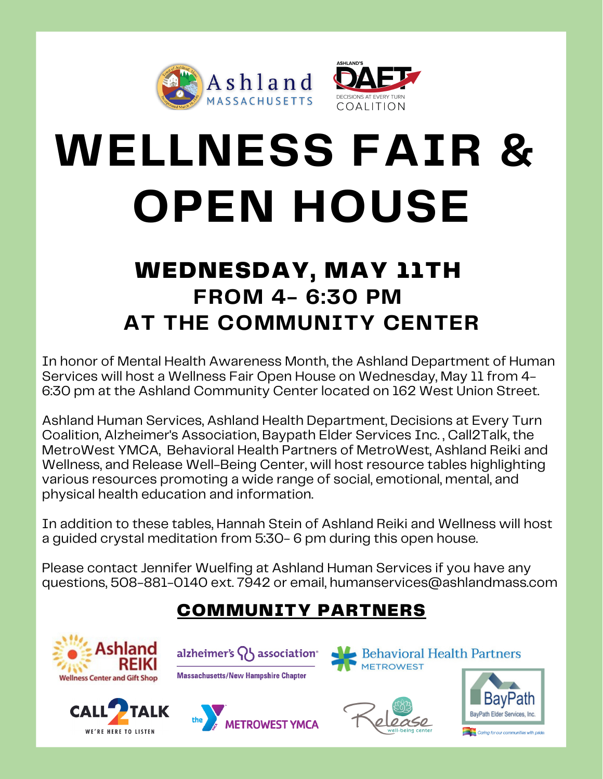



# **WELLNESS FAIR & OPEN HOUSE**

## WEDNESDAY, MAY 11TH **FROM 4- 6:30 PM AT THE COMMUNITY CENTER**

In honor of Mental Health Awareness Month, the Ashland Department of Human Services will host a Wellness Fair Open House on Wednesday, May 11 from 4- 6:30 pm at the Ashland Community Center located on 162 West Union Street.

Ashland Human Services, Ashland Health Department, Decisions at Every Turn Coalition, Alzheimer's Association, Baypath Elder Services Inc. , Call2Talk, the MetroWest YMCA, Behavioral Health Partners of MetroWest, Ashland Reiki and Wellness, and Release Well-Being Center, will host resource tables highlighting various resources promoting a wide range of social, emotional, mental, and physical health education and information.

In addition to these tables, Hannah Stein of Ashland Reiki and Wellness will host a guided crystal meditation from 5:30- 6 pm during this open house.

Please contact Jennifer Wuelfing at Ashland Human Services if you have any questions, 508-881-0140 ext. 7942 or email, humanservices@ashlandmass.com

### COMMUNITY PARTNERS